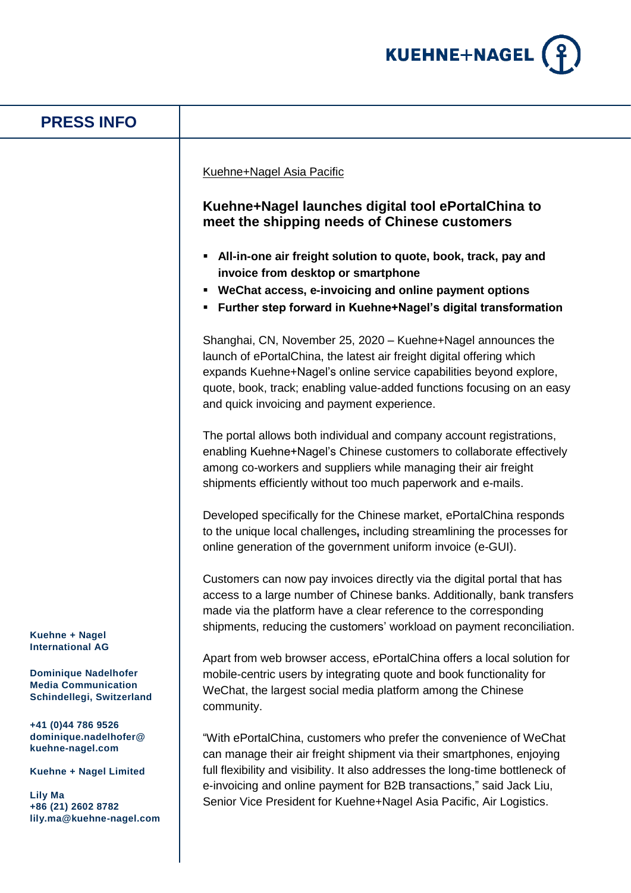

| <b>PRESS INFO</b>                                                                                                                                             |                                                                                                                                                                                                                                                                                                                                                                                                                                                                                                                                                                                                                                                                                                                                                                                                                                                                                                                                                                                                                                                                                                                                                                                                                             |
|---------------------------------------------------------------------------------------------------------------------------------------------------------------|-----------------------------------------------------------------------------------------------------------------------------------------------------------------------------------------------------------------------------------------------------------------------------------------------------------------------------------------------------------------------------------------------------------------------------------------------------------------------------------------------------------------------------------------------------------------------------------------------------------------------------------------------------------------------------------------------------------------------------------------------------------------------------------------------------------------------------------------------------------------------------------------------------------------------------------------------------------------------------------------------------------------------------------------------------------------------------------------------------------------------------------------------------------------------------------------------------------------------------|
|                                                                                                                                                               | Kuehne+Nagel Asia Pacific<br>Kuehne+Nagel launches digital tool ePortalChina to<br>meet the shipping needs of Chinese customers<br>All-in-one air freight solution to quote, book, track, pay and<br>٠<br>invoice from desktop or smartphone<br>WeChat access, e-invoicing and online payment options<br>٠<br>Further step forward in Kuehne+Nagel's digital transformation<br>Shanghai, CN, November 25, 2020 - Kuehne+Nagel announces the<br>launch of ePortalChina, the latest air freight digital offering which<br>expands Kuehne+Nagel's online service capabilities beyond explore,<br>quote, book, track; enabling value-added functions focusing on an easy<br>and quick invoicing and payment experience.<br>The portal allows both individual and company account registrations,<br>enabling Kuehne+Nagel's Chinese customers to collaborate effectively<br>among co-workers and suppliers while managing their air freight<br>shipments efficiently without too much paperwork and e-mails.<br>Developed specifically for the Chinese market, ePortalChina responds<br>to the unique local challenges, including streamlining the processes for<br>online generation of the government uniform invoice (e-GUI). |
| Kuehne + Nagel<br><b>International AG</b>                                                                                                                     | Customers can now pay invoices directly via the digital portal that has<br>access to a large number of Chinese banks. Additionally, bank transfers<br>made via the platform have a clear reference to the corresponding<br>shipments, reducing the customers' workload on payment reconciliation.<br>Apart from web browser access, ePortalChina offers a local solution for<br>mobile-centric users by integrating quote and book functionality for<br>WeChat, the largest social media platform among the Chinese<br>community.                                                                                                                                                                                                                                                                                                                                                                                                                                                                                                                                                                                                                                                                                           |
| <b>Dominique Nadelhofer</b><br><b>Media Communication</b><br>Schindellegi, Switzerland                                                                        |                                                                                                                                                                                                                                                                                                                                                                                                                                                                                                                                                                                                                                                                                                                                                                                                                                                                                                                                                                                                                                                                                                                                                                                                                             |
| +41 (0)44 786 9526<br>dominique.nadelhofer@<br>kuehne-nagel.com<br>Kuehne + Nagel Limited<br><b>Lily Ma</b><br>+86 (21) 2602 8782<br>lily.ma@kuehne-nagel.com | "With ePortalChina, customers who prefer the convenience of WeChat<br>can manage their air freight shipment via their smartphones, enjoying<br>full flexibility and visibility. It also addresses the long-time bottleneck of<br>e-invoicing and online payment for B2B transactions," said Jack Liu,<br>Senior Vice President for Kuehne+Nagel Asia Pacific, Air Logistics.                                                                                                                                                                                                                                                                                                                                                                                                                                                                                                                                                                                                                                                                                                                                                                                                                                                |
|                                                                                                                                                               |                                                                                                                                                                                                                                                                                                                                                                                                                                                                                                                                                                                                                                                                                                                                                                                                                                                                                                                                                                                                                                                                                                                                                                                                                             |